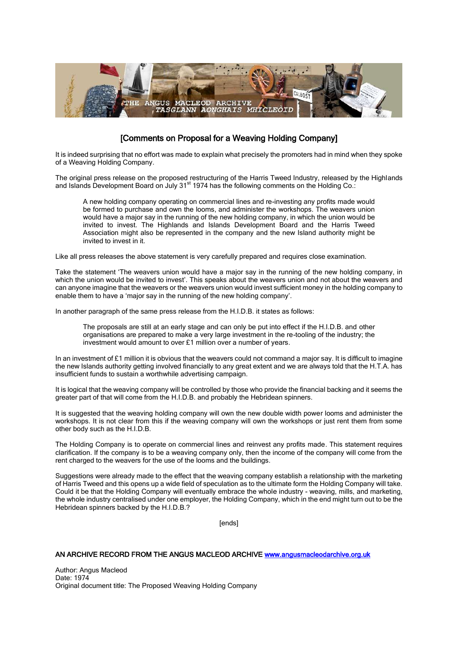

## [Comments on Proposal for a Weaving Holding Company]

It is indeed surprising that no effort was made to explain what precisely the promoters had in mind when they spoke of a Weaving Holding Company.

The original press release on the proposed restructuring of the Harris Tweed Industry, released by the Highlands and Islands Development Board on July 31<sup>st</sup> 1974 has the following comments on the Holding Co.:

A new holding company operating on commercial lines and re-investing any profits made would be formed to purchase and own the looms, and administer the workshops. The weavers union would have a major say in the running of the new holding company, in which the union would be invited to invest. The Highlands and Islands Development Board and the Harris Tweed Association might also be represented in the company and the new Island authority might be invited to invest in it.

Like all press releases the above statement is very carefully prepared and requires close examination.

Take the statement 'The weavers union would have a major say in the running of the new holding company, in which the union would be invited to invest'. This speaks about the weavers union and not about the weavers and can anyone imagine that the weavers or the weavers union would invest sufficient money in the holding company to enable them to have a 'major say in the running of the new holding company'.

In another paragraph of the same press release from the H.I.D.B. it states as follows:

The proposals are still at an early stage and can only be put into effect if the H.I.D.B. and other organisations are prepared to make a very large investment in the re-tooling of the industry; the investment would amount to over £1 million over a number of years.

In an investment of £1 million it is obvious that the weavers could not command a major say. It is difficult to imagine the new Islands authority getting involved financially to any great extent and we are always told that the H.T.A. has insufficient funds to sustain a worthwhile advertising campaign.

It is logical that the weaving company will be controlled by those who provide the financial backing and it seems the greater part of that will come from the H.I.D.B. and probably the Hebridean spinners.

It is suggested that the weaving holding company will own the new double width power looms and administer the workshops. It is not clear from this if the weaving company will own the workshops or just rent them from some other body such as the H.I.D.B.

The Holding Company is to operate on commercial lines and reinvest any profits made. This statement requires clarification. If the company is to be a weaving company only, then the income of the company will come from the rent charged to the weavers for the use of the looms and the buildings.

Suggestions were already made to the effect that the weaving company establish a relationship with the marketing of Harris Tweed and this opens up a wide field of speculation as to the ultimate form the Holding Company will take. Could it be that the Holding Company will eventually embrace the whole industry - weaving, mills, and marketing, the whole industry centralised under one employer, the Holding Company, which in the end might turn out to be the Hebridean spinners backed by the H.I.D.B.?

[ends]

## AN ARCHIVE RECORD FROM THE ANGUS MACLEOD ARCHIVE [www.angusmacleodarchive.org.uk](http://www.angusmacleodarchive.org.uk/)

Author: Angus Macleod Date: 1974 Original document title: The Proposed Weaving Holding Company